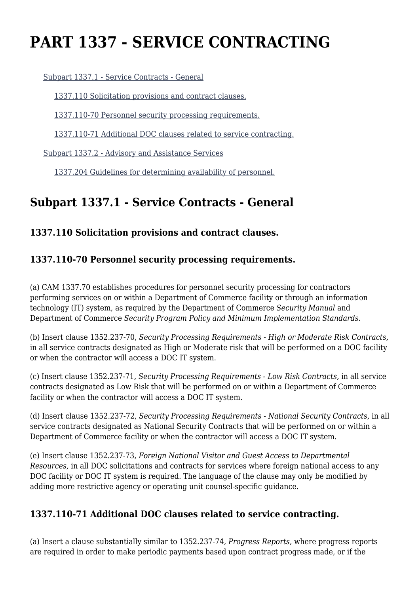# **PART 1337 - SERVICE CONTRACTING**

[Subpart 1337.1 - Service Contracts - General](https://login.acquisition.gov/%5Brp:link:car-part-1337%5D#Subpart_1337_1_T48_50648351)

[1337.110 Solicitation provisions and contract clauses.](https://login.acquisition.gov/%5Brp:link:car-part-1337%5D#Section_1337_110_T48_5064835111)

[1337.110-70 Personnel security processing requirements.](https://login.acquisition.gov/%5Brp:link:car-part-1337%5D#Section_1337_110_70_T48_5064835112)

[1337.110-71 Additional DOC clauses related to service contracting.](https://login.acquisition.gov/%5Brp:link:car-part-1337%5D#Section_1337_110_71_T48_5064835113)

[Subpart 1337.2 - Advisory and Assistance Services](https://login.acquisition.gov/%5Brp:link:car-part-1337%5D#Subpart_1337_2_T48_50648352)

[1337.204 Guidelines for determining availability of personnel.](https://login.acquisition.gov/%5Brp:link:car-part-1337%5D#Section_1337_204_T48_5064835211)

## **Subpart 1337.1 - Service Contracts - General**

#### **1337.110 Solicitation provisions and contract clauses.**

#### **1337.110-70 Personnel security processing requirements.**

(a) CAM 1337.70 establishes procedures for personnel security processing for contractors performing services on or within a Department of Commerce facility or through an information technology (IT) system, as required by the Department of Commerce *Security Manual* and Department of Commerce *Security Program Policy and Minimum Implementation Standards.*

(b) Insert clause 1352.237-70, *Security Processing Requirements - High or Moderate Risk Contracts,* in all service contracts designated as High or Moderate risk that will be performed on a DOC facility or when the contractor will access a DOC IT system.

(c) Insert clause 1352.237-71, *Security Processing Requirements - Low Risk Contracts,* in all service contracts designated as Low Risk that will be performed on or within a Department of Commerce facility or when the contractor will access a DOC IT system.

(d) Insert clause 1352.237-72, *Security Processing Requirements - National Security Contracts,* in all service contracts designated as National Security Contracts that will be performed on or within a Department of Commerce facility or when the contractor will access a DOC IT system.

(e) Insert clause 1352.237-73, *Foreign National Visitor and Guest Access to Departmental Resources,* in all DOC solicitations and contracts for services where foreign national access to any DOC facility or DOC IT system is required. The language of the clause may only be modified by adding more restrictive agency or operating unit counsel-specific guidance.

#### **1337.110-71 Additional DOC clauses related to service contracting.**

(a) Insert a clause substantially similar to 1352.237-74, *Progress Reports,* where progress reports are required in order to make periodic payments based upon contract progress made, or if the